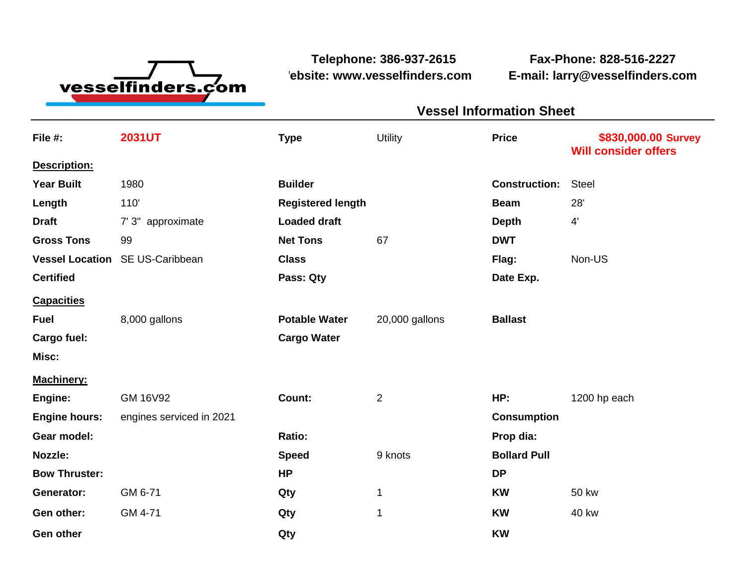

**Website: www.vesselfinders.com E-mail: larry@vesselfinders.com**

**Telephone: 386-937-2615 Fax-Phone: 828-516-2227**

## **Vessel Information Sheet Sheet Constant Constant Constant Constant Constant Constant Constant Constant Constant Constant Constant Constant Constant Constant Constant Constant Constant Constant Constant Constant Consta Vessel Information Sheet**

| File #:                | <b>2031UT</b>            | <b>Type</b>              | <b>Utility</b> | <b>Price</b>         | \$830,000.00 Survey<br><b>Will consider offers</b> |
|------------------------|--------------------------|--------------------------|----------------|----------------------|----------------------------------------------------|
| Description:           |                          |                          |                |                      |                                                    |
| <b>Year Built</b>      | 1980                     | <b>Builder</b>           |                | <b>Construction:</b> | <b>Steel</b>                                       |
| Length                 | 110                      | <b>Registered length</b> |                | <b>Beam</b>          | 28'                                                |
| <b>Draft</b>           | 7' 3" approximate        | <b>Loaded draft</b>      |                | <b>Depth</b>         | $4^{\prime}$                                       |
| <b>Gross Tons</b>      | 99                       | <b>Net Tons</b>          | 67             | <b>DWT</b>           |                                                    |
| <b>Vessel Location</b> | SE US-Caribbean          | <b>Class</b>             |                | Flag:                | Non-US                                             |
| <b>Certified</b>       |                          | Pass: Qty                |                | Date Exp.            |                                                    |
| <b>Capacities</b>      |                          |                          |                |                      |                                                    |
| <b>Fuel</b>            | 8,000 gallons            | <b>Potable Water</b>     | 20,000 gallons | <b>Ballast</b>       |                                                    |
| Cargo fuel:            |                          | <b>Cargo Water</b>       |                |                      |                                                    |
| Misc:                  |                          |                          |                |                      |                                                    |
| <b>Machinery:</b>      |                          |                          |                |                      |                                                    |
| Engine:                | <b>GM 16V92</b>          | Count:                   | $\overline{2}$ | HP:                  | 1200 hp each                                       |
| <b>Engine hours:</b>   | engines serviced in 2021 |                          |                | <b>Consumption</b>   |                                                    |
| Gear model:            |                          | Ratio:                   |                | Prop dia:            |                                                    |
| Nozzle:                |                          | <b>Speed</b>             | 9 knots        | <b>Bollard Pull</b>  |                                                    |
| <b>Bow Thruster:</b>   |                          | <b>HP</b>                |                | <b>DP</b>            |                                                    |
| Generator:             | GM 6-71                  | Qty                      | 1              | <b>KW</b>            | <b>50 kw</b>                                       |
| Gen other:             | GM 4-71                  | Qty                      | 1              | <b>KW</b>            | <b>40 kw</b>                                       |
| <b>Gen other</b>       |                          | Qty                      |                | <b>KW</b>            |                                                    |